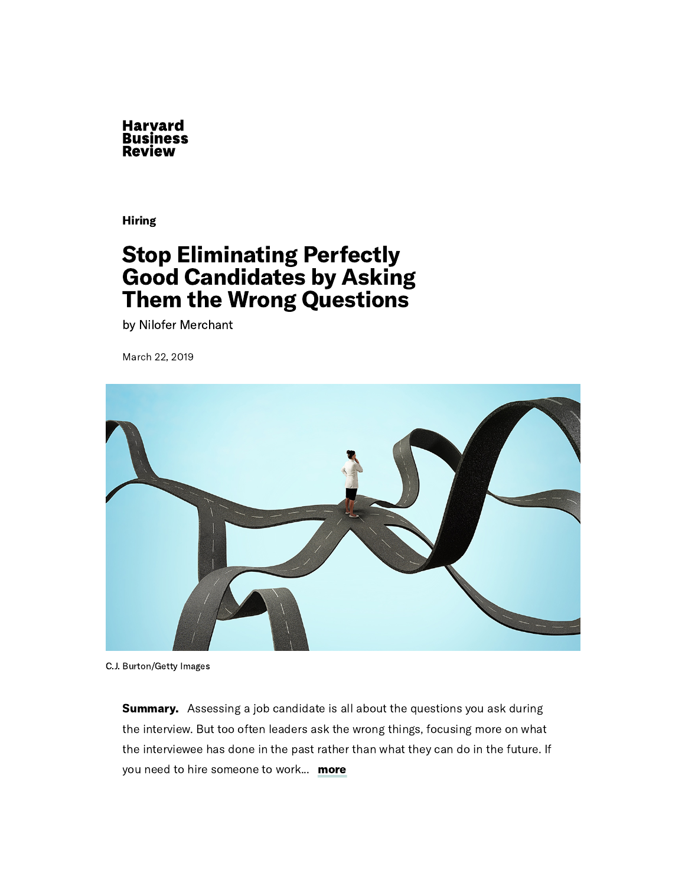

[Hiring](https://hbr.org/topic/hiring)

## Stop Eliminating Perfectly Good Candidates by Asking Them the Wrong Questions

by Nilofer [Merchant](https://hbr.org/search?term=nilofer%20merchant)

March 22, 2019



C.J. Burton/Getty Images

**Summary.** Assessing a job candidate is all about the questions you ask during the interview. But too often leaders ask the wrong things, focusing more on what the interviewee has done in the past rather than what they can do in the future. If you need to hire someone to work... more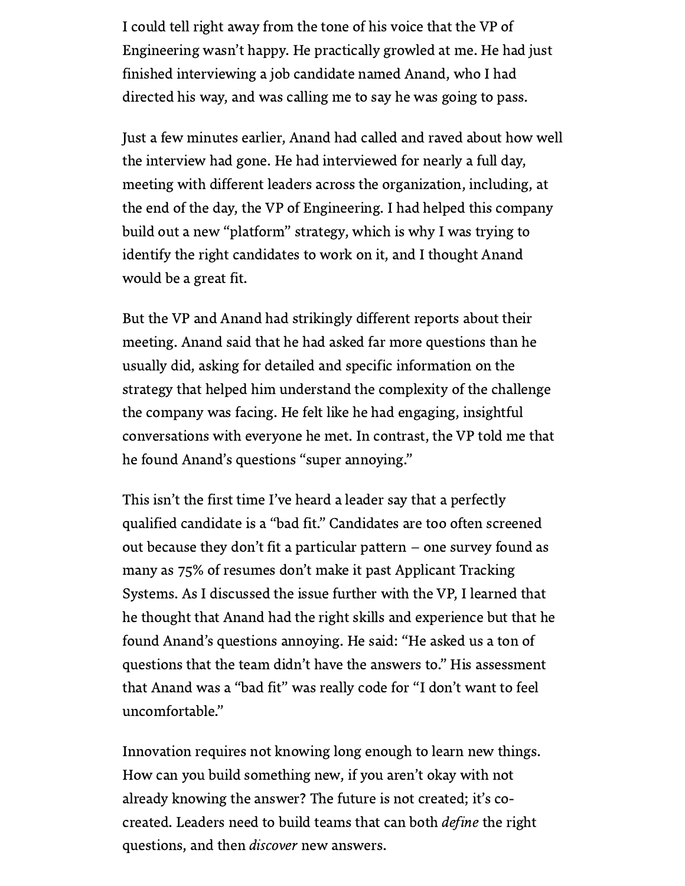I could tell right away from the tone of his voice that the VP of Engineering wasn't happy. He practically growled at me. He had just finished interviewing a job candidate named Anand, who I had directed his way, and was calling me to say he was going to pass.

Just a few minutes earlier, Anand had called and raved about how well the interview had gone. He had interviewed for nearly a full day, meeting with different leaders across the organization, including, at the end of the day, the VP of Engineering. I had helped this company build out a new "platform" strategy, which is why I was trying to identify the right candidates to work on it, and I thought Anand would be a great fit.

But the VP and Anand had strikingly different reports about their meeting. Anand said that he had asked far more [questions](https://hbr.org/2018/05/the-surprising-power-of-questions) than he usually did, asking for detailed and specific information on the strategy that helped him understand the complexity of the challenge the company was facing. He felt like he had engaging, insightful conversations with everyone he met. In contrast, the VP told me that he found Anand's questions "super annoying. "

This isn't the first time I've heard a leader say that a perfectly qualified candidate is a "bad fit." [Candidates](https://diginomica.com/solve-for-algorithmic-bias/) are too often screened out because they don't fit a particular pattern – one survey found as many as 75% of [resumes](https://blog.talview.com/demise-of-applicant-tracking-system) don't make it past Applicant Tracking Systems. As I discussed the issue further with the VP, I learned that he thought that Anand had the right skills and experience but that he found Anand's questions annoying. He said: "He asked us a ton of questions that the team didn't have the answers to. " His assessment that Anand was a "bad fit" was really code for "I don't want to feel uncomfortable. "

Innovation requires not knowing long enough to learn new things. How can you build something new, if you aren't okay with not already knowing the answer? The future is not created; it's cocreated. Leaders need to build teams that can both *define* the right questions, and then *discover* new answers.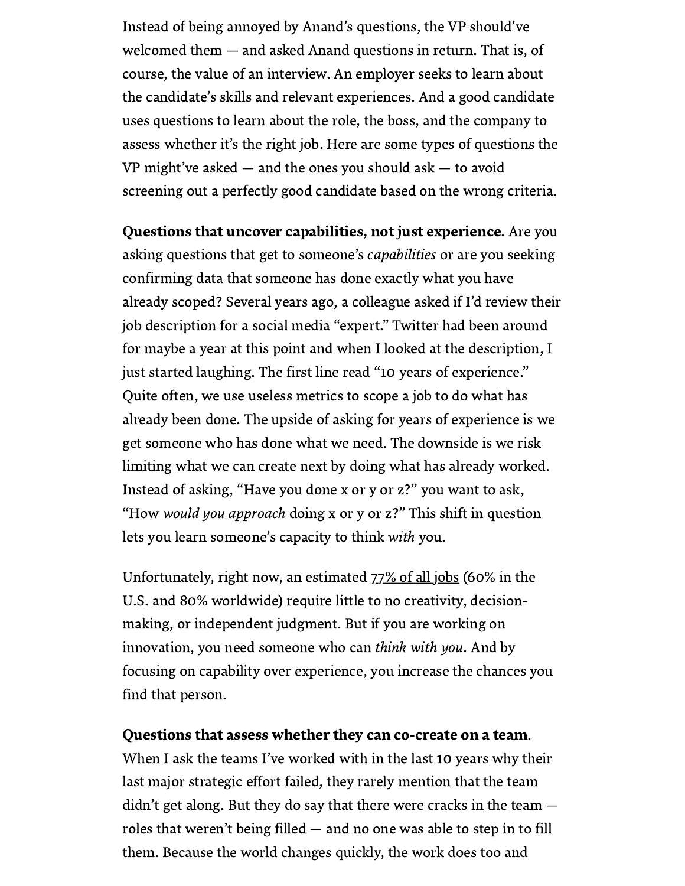Instead of being annoyed by Anand's questions, the VP should've welcomed them — and asked Anand questions in return. That is, of course, the value of an interview. An employer seeks to learn about the candidate's skills and relevant [experiences.](https://hbr.org/2015/01/how-to-conduct-an-effective-job-interview) And a good candidate uses questions to learn about the role, the boss, and the company to assess whether it's the right job. Here are some types of questions the VP might've asked — and the ones you should ask — to avoid screening out a perfectly good candidate based on the wrong criteria.

Questions that uncover capabilities, not just experience. Are you asking questions that get to someone's *capabilities* or are you seeking confirming data that someone has done exactly what you have already scoped? Several years ago, a colleague asked if I'd review their job description for a social media "expert. " Twitter had been around for maybe a year at this point and when I looked at the description, I just started laughing. The first line read "10 years of experience. " Quite often, we use useless metrics to scope a job to do what has already been done. The upside of asking for years of experience is we get someone who has done what we need. The downside is we risk limiting what we can create next by doing what has already worked. Instead of asking, "Have you done x or y or z?" you want to ask, "How would you approach doing x or y or z?" This shift in question lets you learn someone's capacity to think with you.

Unfortunately, right now, an estimated  $77\%$  of all jobs (60% in the U.S. and 80% worldwide) require little to no creativity, decisionmaking, or independent judgment. But if you are working on innovation, you need someone who can think with you. And by focusing on capability over experience, you increase the chances you find that person.

## Questions that assess whether they can co-create on a team.

When I ask the teams I've worked with in the last 10 years why their last major strategic effort failed, they rarely mention that the team didn't get along. But they do say that there were cracks in the team roles that weren't being filled — and no one was able to step in to fill them. Because the world changes quickly, the work does too and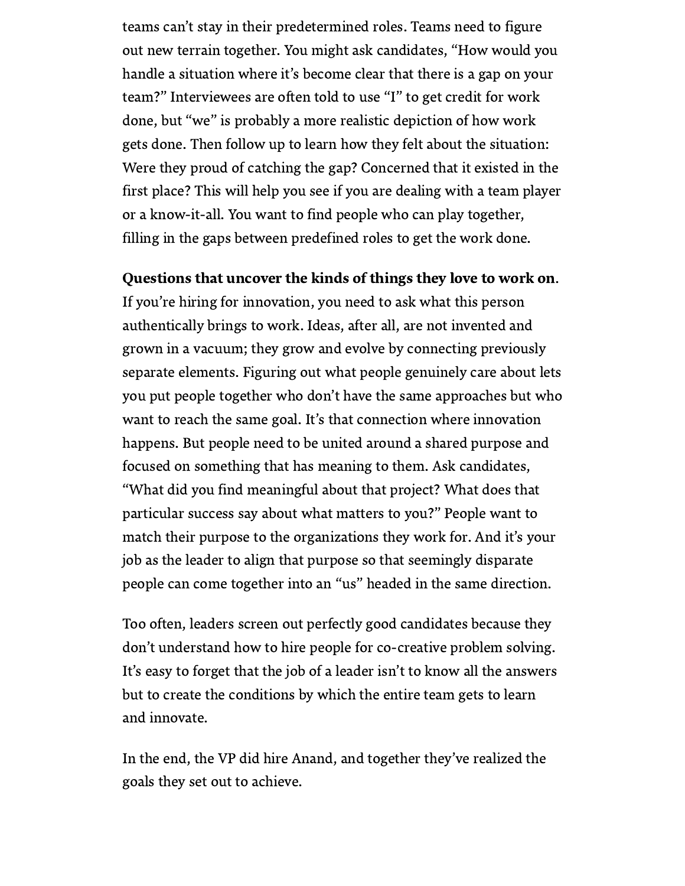teams can't stay in their predetermined roles. Teams need to figure out new terrain together. You might ask candidates, "How would you handle a situation where it's become clear that there is a gap on your team?" Interviewees are often told to use "I" to get credit for work done, but "we" is probably a more realistic depiction of how work gets done. Then follow up to learn how they felt about the situation: Were they proud of catching the gap? Concerned that it existed in the first place? This will help you see if you are dealing with a team player or a know-it-all. You want to find people who can play together, filling in the gaps between predefined roles to get the work done.

## Questions that uncover the kinds of things they love to work on.

If you're hiring for innovation, you need to ask what this person authentically brings to work. Ideas, after all, are not invented and grown in a vacuum; they grow and evolve by connecting previously separate elements. Figuring out what people genuinely care about lets you put people together who don't have the same approaches but who want to reach the same goal. It's that connection where innovation happens. But people need to be united around a shared purpose and focused on something that has meaning to them. Ask candidates, "What did you find meaningful about that project? What does that particular success say about what matters to you?" People want to match their purpose to the organizations they work for. And it's your job as the leader to align that purpose so that seemingly disparate people can come together into an "us" headed in the same direction.

Too often, leaders screen out perfectly good candidates because they don't understand how to hire people for co-creative problem solving. It's easy to forget that the job of a leader isn't to know all the answers but to create the conditions by which the entire team gets to learn and innovate.

In the end, the VP did hire Anand, and together they've realized the goals they set out to achieve.